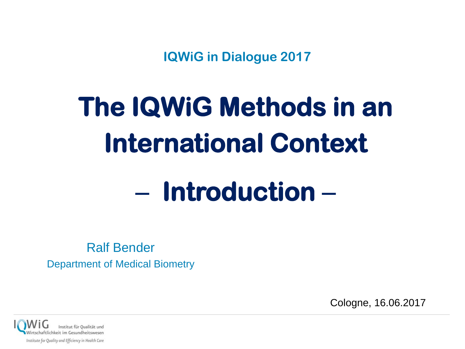**IQWiG in Dialogue 2017**

# **The IQWiG Methods in an International Context**  − **Introduction** −

Ralf Bender Department of Medical Biometry

Cologne, 16.06.2017

ftlichkeit im Gesundheitsweser Institute for Quality and Efficiency in Health Care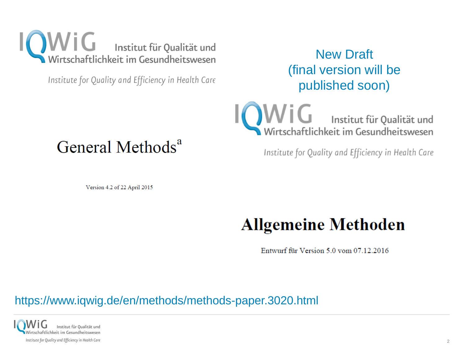

Institute for Quality and Efficiency in Health Care

#### New Draft (final version will be published soon)

 $\mathbf{V}$   $\mathbf{G}$  Institut für Qualität und Wirtschaftlichkeit im Gesundheitswesen

Institute for Quality and Efficiency in Health Care

## General Methods<sup>a</sup>

Version 4.2 of 22 April 2015

## **Allgemeine Methoden**

Entwurf für Version 5.0 vom 07.12.2016

#### https://www.iqwig.de/en/methods/methods-paper.3020.html

Institut für Qualität und Wirtschaftlichkeit im Gesundheitswesen Institute for Quality and Efficiency in Health Care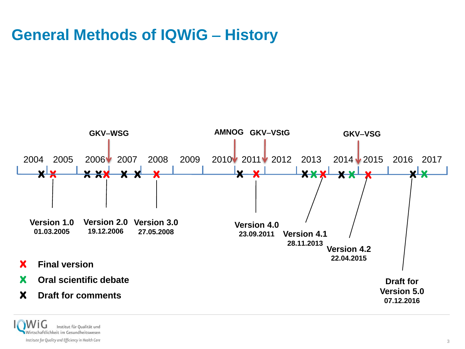#### **General Methods of IQWiG** − **History**



Institut für Qualität und Wirtschaftlichkeit im Gesundheitswesen Institute for Quality and Efficiency in Health Care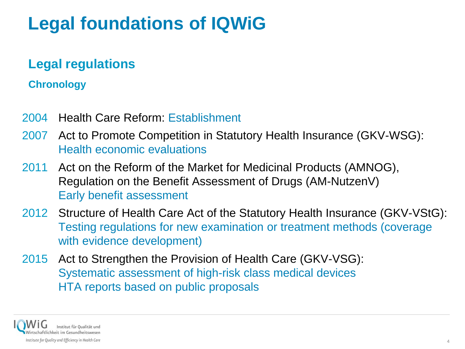# **Legal foundations of IQWiG**

#### **Legal regulations**

#### **Chronology**

- 2004 Health Care Reform: Establishment
- 2007 Act to Promote Competition in Statutory Health Insurance (GKV-WSG): Health economic evaluations
- 2011 Act on the Reform of the Market for Medicinal Products (AMNOG), Regulation on the Benefit Assessment of Drugs (AM-NutzenV) Early benefit assessment
- 2012 Structure of Health Care Act of the Statutory Health Insurance (GKV-VStG): Testing regulations for new examination or treatment methods (coverage with evidence development)
- 2015 Act to Strengthen the Provision of Health Care (GKV-VSG): Systematic assessment of high-risk class medical devices HTA reports based on public proposals

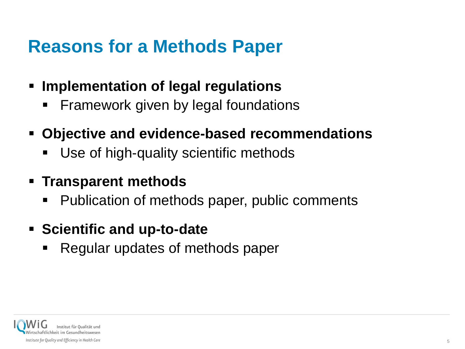## **Reasons for a Methods Paper**

- **Implementation of legal regulations**
	- Framework given by legal foundations
- **Objective and evidence-based recommendations**
	- Use of high-quality scientific methods
- **Transparent methods**
	- Publication of methods paper, public comments
- **Scientific and up-to-date**
	- Regular updates of methods paper

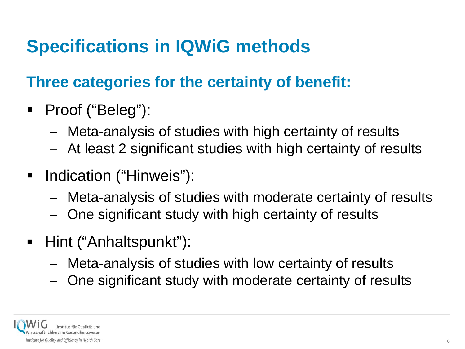# **Specifications in IQWiG methods**

## **Three categories for the certainty of benefit:**

- Proof ("Beleg"):
	- − Meta-analysis of studies with high certainty of results
	- − At least 2 significant studies with high certainty of results
- **-** Indication ("Hinweis"):
	- − Meta-analysis of studies with moderate certainty of results
	- One significant study with high certainty of results
- Hint ("Anhaltspunkt"):
	- − Meta-analysis of studies with low certainty of results
	- One significant study with moderate certainty of results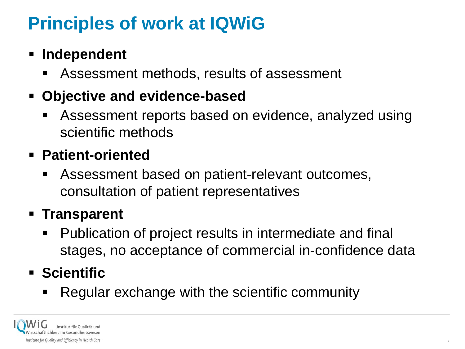# **Principles of work at IQWiG**

#### **Independent**

Assessment methods, results of assessment

#### **Objective and evidence-based**

 Assessment reports based on evidence, analyzed using scientific methods

#### **Patient-oriented**

 Assessment based on patient-relevant outcomes, consultation of patient representatives

### **Transparent**

 Publication of project results in intermediate and final stages, no acceptance of commercial in-confidence data

### **Scientific**

Regular exchange with the scientific community